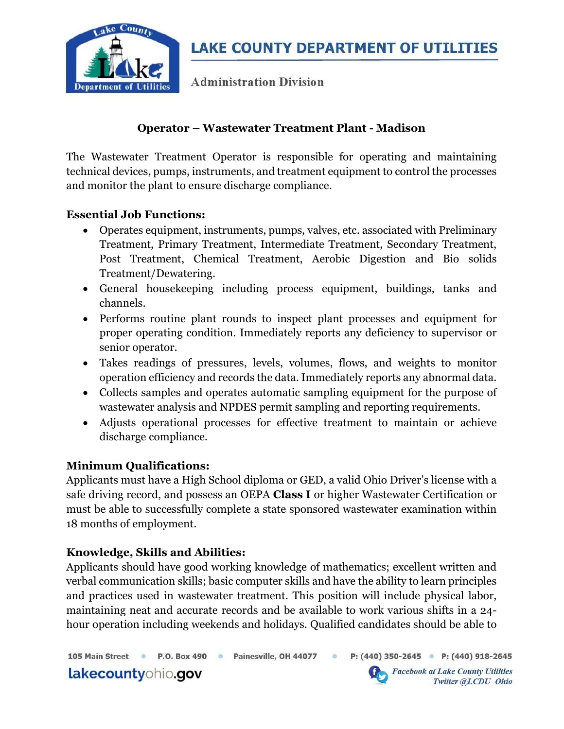

**Administration Division** 

# Operator – Wastewater Treatment Plant - Madison

The Wastewater Treatment Operator is responsible for operating and maintaining technical devices, pumps, instruments, and treatment equipment to control the processes and monitor the plant to ensure discharge compliance.

### Essential Job Functions:

- Operates equipment, instruments, pumps, valves, etc. associated with Preliminary Treatment, Primary Treatment, Intermediate Treatment, Secondary Treatment, Post Treatment, Chemical Treatment, Aerobic Digestion and Bio solids Treatment/Dewatering.
- General housekeeping including process equipment, buildings, tanks and channels.
- Performs routine plant rounds to inspect plant processes and equipment for proper operating condition. Immediately reports any deficiency to supervisor or senior operator.
- Takes readings of pressures, levels, volumes, flows, and weights to monitor operation efficiency and records the data. Immediately reports any abnormal data.
- Collects samples and operates automatic sampling equipment for the purpose of wastewater analysis and NPDES permit sampling and reporting requirements.
- Adjusts operational processes for effective treatment to maintain or achieve discharge compliance.

# Minimum Qualifications:

Applicants must have a High School diploma or GED, a valid Ohio Driver's license with a safe driving record, and possess an OEPA Class I or higher Wastewater Certification or must be able to successfully complete a state sponsored wastewater examination within 18 months of employment.

# Knowledge, Skills and Abilities:

Applicants should have good working knowledge of mathematics; excellent written and verbal communication skills; basic computer skills and have the ability to learn principles and practices used in wastewater treatment. This position will include physical labor, maintaining neat and accurate records and be available to work various shifts in a 24 hour operation including weekends and holidays. Qualified candidates should be able to

105 Main Street · P.O. Box 490 · Painesville, OH 44077 ·

lakecountyohio.gov